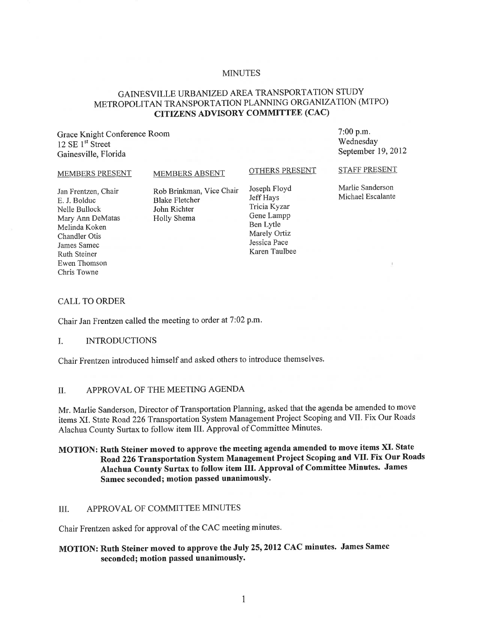### MINUTES

# GAINESVILLE URBANIZED AREA TRANSPORTATION STUDY METROPOLITAN TRANSPORTATION PLANNING ORGANIZATION (MTPO) CITIZENS ADVISORY COMMITTEE (CAC)

Grace Knight Conference Room  $12 \text{ SE } 1^{\text{st}}$  Street Gainesville, Florida

7:00 p.m. Wednesday September 19,2012

#### MEMBERS PRESENT

MEMBERS ABSENT

#### OTHERS PRESENT

Jan Frentzen, Chair E. J. Bolduc Nelle Bullock Mary Ann DeMatas Melinda Koken Chandler Otis James Samec Ruth Steiner Ewen Thomson Chris Towne

Rob Brinkman, Vice Chair Blake Fletcher John Richter Holly Shema

Joseph Floyd Jeff Hays Tricia Kyzar Gene Lampp Ben Lytle Marely Ortiz Jessica Pace Karen Taulbee STAFF PRESENT

Marlie Sanderson Michael Escalante

### CALL TO ORDER

Chair Jan Frentzen called the meeting to order at 7:02 p.m.

### I. INTRODUCTIONS

Chair Frentzen introduced himself and asked others to introduce themselves.

### II. APPROVAL OF THE MEETING AGENDA

Mr. Marlie Sanderson, Director of Transportation Planning, asked that the agenda be amended to move items XI. State Road 226 Transportation System Management Project Scoping and VII. Fix Our Roads Alachua County Surtax to follow item III. Approval of Committee Minutes.

## MOTION: Ruth Steiner moved to approve the meeting agenda amended to move items XI. State Road 226 Transportation System Management Project Scoping and VII. Fix Our Roads Alachua County Surtax to follow item TIl. Approval of Committee Minutes. James Samee seconded; motion passed unanimously.

## III. APPROVAL OF COMMITTEE MINUTES

Chair Frentzen asked for approval of the CAC meeting minutes.

# MOTION: Ruth Steiner moved to approve the July 25, 2012 CAC minutes. James Samec seconded; motion passed unanimously.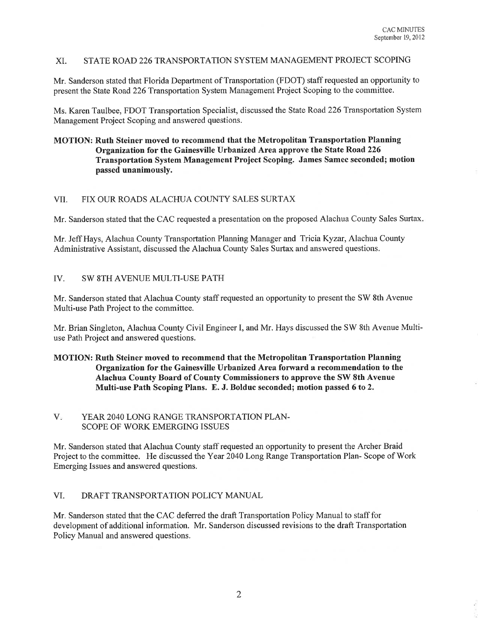## XI. STATE ROAD 226 TRANSPORTATION SYSTEM MANAGEMENT PROJECT SCOPING

Mr. Sanderson stated that Florida Department of Transportation (FDOT) staff requested an opportunity to present the State Road 226 Transportation System Management Project Scoping to the committee.

Ms. Karen Taulbee, FDOT Transportation Specialist, discussed the State Road 226 Transportation System Management Project Scoping and answered questions.

## MOTION: Ruth Steiner moved to recommend that the Metropolitan Transportation Planning Organization for the Gainesville Urbanized Area approve the State Road 226 Transportation System Management Project Scoping. James Samec seconded; motion passed unanimously.

## VII. FIX OUR ROADS ALACHUA COUNTY SALES SURTAX

Mr. Sanderson stated that the CAC requested a presentation on the proposed Alachua County Sales Surtax.

Mr. Jeff Hays, Alachua County Transportation Planning Manager and Tricia Kyzar, Alachua County Administrative Assistant, discussed the Alachua County Sales Surtax and answered questions.

## IV. SW 8TH AVENUE MULTI-USE PATH

Mr. Sanderson stated that Alachua County staff requested an opportunity to present the SW 8th Avenue Multi-use Path Project to the committee.

Mr. Brian Singleton, Alachua County Civil Engineer I, and Mr. Hays discussed the SW 8th Avenue Multiuse Path Project and answered questions.

## MOTION: Ruth Steiner moved to recommend that the Metropolitan Transportation Planning Organization for the Gainesville Urbanized Area forward a recommendation to the Alachua County Board of County Commissioners to approve the SW 8th Avenue Multi-use Path Scoping Plans. E. J. Bolduc seconded; motion passed 6 to 2.

## V. YEAR 2040 LONG RANGE TRANSPORTATION PLAN-SCOPE OF WORK EMERGING ISSUES

Mr. Sanderson stated that Alachua County staff requested an opportunity to present the Archer Braid Project to the committee. He discussed the Year 2040 Long Range Transportation Plan- Scope of Work Emerging Issues and answered questions.

## VI. DRAFT TRANSPORTATION POLICY MANUAL

Mr. Sanderson stated that the CAC deferred the draft Transportation Policy Manual to staff for development of additional information. Mr. Sanderson discussed revisions to the draft Transportation Policy Manual and answered questions.